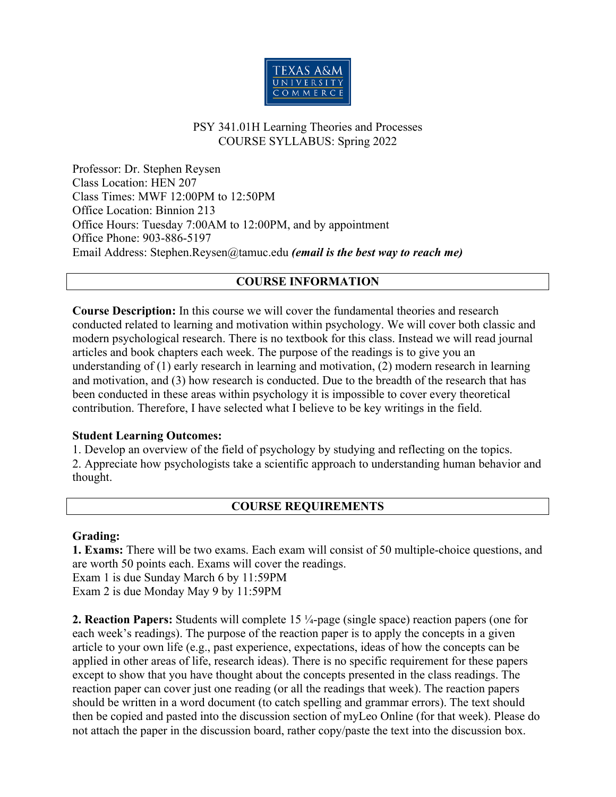

## PSY 341.01H Learning Theories and Processes COURSE SYLLABUS: Spring 2022

Professor: Dr. Stephen Reysen Class Location: HEN 207 Class Times: MWF 12:00PM to 12:50PM Office Location: Binnion 213 Office Hours: Tuesday 7:00AM to 12:00PM, and by appointment Office Phone: 903-886-5197 Email Address: Stephen.Reysen@tamuc.edu *(email is the best way to reach me)*

#### **COURSE INFORMATION**

**Course Description:** In this course we will cover the fundamental theories and research conducted related to learning and motivation within psychology. We will cover both classic and modern psychological research. There is no textbook for this class. Instead we will read journal articles and book chapters each week. The purpose of the readings is to give you an understanding of (1) early research in learning and motivation, (2) modern research in learning and motivation, and (3) how research is conducted. Due to the breadth of the research that has been conducted in these areas within psychology it is impossible to cover every theoretical contribution. Therefore, I have selected what I believe to be key writings in the field.

#### **Student Learning Outcomes:**

1. Develop an overview of the field of psychology by studying and reflecting on the topics. 2. Appreciate how psychologists take a scientific approach to understanding human behavior and thought.

### **COURSE REQUIREMENTS**

#### **Grading:**

**1. Exams:** There will be two exams. Each exam will consist of 50 multiple-choice questions, and are worth 50 points each. Exams will cover the readings. Exam 1 is due Sunday March 6 by 11:59PM

Exam 2 is due Monday May 9 by 11:59PM

**2. Reaction Papers:** Students will complete 15 ¼-page (single space) reaction papers (one for each week's readings). The purpose of the reaction paper is to apply the concepts in a given article to your own life (e.g., past experience, expectations, ideas of how the concepts can be applied in other areas of life, research ideas). There is no specific requirement for these papers except to show that you have thought about the concepts presented in the class readings. The reaction paper can cover just one reading (or all the readings that week). The reaction papers should be written in a word document (to catch spelling and grammar errors). The text should then be copied and pasted into the discussion section of myLeo Online (for that week). Please do not attach the paper in the discussion board, rather copy/paste the text into the discussion box.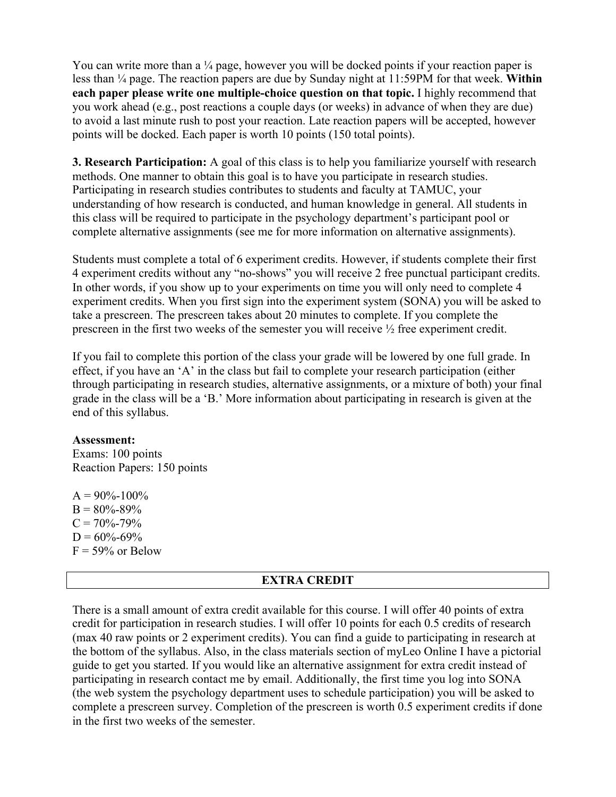You can write more than a  $\frac{1}{4}$  page, however you will be docked points if your reaction paper is less than ¼ page. The reaction papers are due by Sunday night at 11:59PM for that week. **Within each paper please write one multiple-choice question on that topic.** I highly recommend that you work ahead (e.g., post reactions a couple days (or weeks) in advance of when they are due) to avoid a last minute rush to post your reaction. Late reaction papers will be accepted, however points will be docked. Each paper is worth 10 points (150 total points).

**3. Research Participation:** A goal of this class is to help you familiarize yourself with research methods. One manner to obtain this goal is to have you participate in research studies. Participating in research studies contributes to students and faculty at TAMUC, your understanding of how research is conducted, and human knowledge in general. All students in this class will be required to participate in the psychology department's participant pool or complete alternative assignments (see me for more information on alternative assignments).

Students must complete a total of 6 experiment credits. However, if students complete their first 4 experiment credits without any "no-shows" you will receive 2 free punctual participant credits. In other words, if you show up to your experiments on time you will only need to complete 4 experiment credits. When you first sign into the experiment system (SONA) you will be asked to take a prescreen. The prescreen takes about 20 minutes to complete. If you complete the prescreen in the first two weeks of the semester you will receive ½ free experiment credit.

If you fail to complete this portion of the class your grade will be lowered by one full grade. In effect, if you have an 'A' in the class but fail to complete your research participation (either through participating in research studies, alternative assignments, or a mixture of both) your final grade in the class will be a 'B.' More information about participating in research is given at the end of this syllabus.

#### **Assessment:**

Exams: 100 points Reaction Papers: 150 points

 $A = 90\% - 100\%$  $B = 80\% - 89\%$  $C = 70\% - 79\%$  $D = 60\% - 69\%$  $F = 59\%$  or Below

### **EXTRA CREDIT**

There is a small amount of extra credit available for this course. I will offer 40 points of extra credit for participation in research studies. I will offer 10 points for each 0.5 credits of research (max 40 raw points or 2 experiment credits). You can find a guide to participating in research at the bottom of the syllabus. Also, in the class materials section of myLeo Online I have a pictorial guide to get you started. If you would like an alternative assignment for extra credit instead of participating in research contact me by email. Additionally, the first time you log into SONA (the web system the psychology department uses to schedule participation) you will be asked to complete a prescreen survey. Completion of the prescreen is worth 0.5 experiment credits if done in the first two weeks of the semester.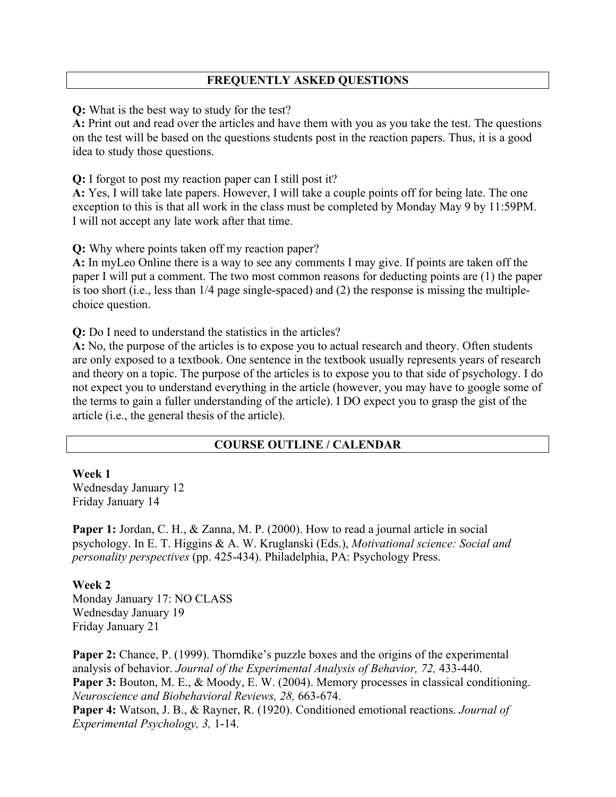## **FREQUENTLY ASKED QUESTIONS**

**Q:** What is the best way to study for the test?

**A:** Print out and read over the articles and have them with you as you take the test. The questions on the test will be based on the questions students post in the reaction papers. Thus, it is a good idea to study those questions.

**Q:** I forgot to post my reaction paper can I still post it?

**A:** Yes, I will take late papers. However, I will take a couple points off for being late. The one exception to this is that all work in the class must be completed by Monday May 9 by 11:59PM. I will not accept any late work after that time.

**Q:** Why where points taken off my reaction paper?

**A:** In myLeo Online there is a way to see any comments I may give. If points are taken off the paper I will put a comment. The two most common reasons for deducting points are (1) the paper is too short (i.e., less than 1/4 page single-spaced) and (2) the response is missing the multiplechoice question.

**Q:** Do I need to understand the statistics in the articles?

**A:** No, the purpose of the articles is to expose you to actual research and theory. Often students are only exposed to a textbook. One sentence in the textbook usually represents years of research and theory on a topic. The purpose of the articles is to expose you to that side of psychology. I do not expect you to understand everything in the article (however, you may have to google some of the terms to gain a fuller understanding of the article). I DO expect you to grasp the gist of the article (i.e., the general thesis of the article).

#### **COURSE OUTLINE / CALENDAR**

#### **Week 1**

Wednesday January 12 Friday January 14

**Paper 1:** Jordan, C. H., & Zanna, M. P. (2000). How to read a journal article in social psychology. In E. T. Higgins & A. W. Kruglanski (Eds.), *Motivational science: Social and personality perspectives* (pp. 425-434). Philadelphia, PA: Psychology Press.

#### **Week 2**

Monday January 17: NO CLASS Wednesday January 19 Friday January 21

**Paper 2:** Chance, P. (1999). Thorndike's puzzle boxes and the origins of the experimental analysis of behavior. *Journal of the Experimental Analysis of Behavior, 72,* 433-440. Paper 3: Bouton, M. E., & Moody, E. W. (2004). Memory processes in classical conditioning. *Neuroscience and Biobehavioral Reviews, 28,* 663-674.

**Paper 4:** Watson, J. B., & Rayner, R. (1920). Conditioned emotional reactions. *Journal of Experimental Psychology, 3,* 1-14.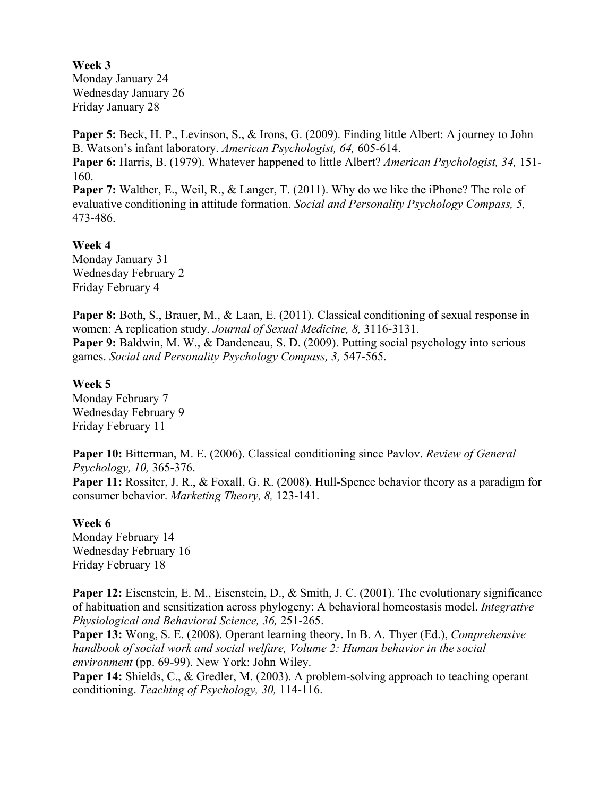## **Week 3**

Monday January 24 Wednesday January 26 Friday January 28

**Paper 5:** Beck, H. P., Levinson, S., & Irons, G. (2009). Finding little Albert: A journey to John B. Watson's infant laboratory. *American Psychologist, 64,* 605-614. **Paper 6:** Harris, B. (1979). Whatever happened to little Albert? *American Psychologist, 34,* 151- 160.

**Paper 7:** Walther, E., Weil, R., & Langer, T. (2011). Why do we like the iPhone? The role of evaluative conditioning in attitude formation. *Social and Personality Psychology Compass, 5,*  473-486.

#### **Week 4**

Monday January 31 Wednesday February 2 Friday February 4

**Paper 8:** Both, S., Brauer, M., & Laan, E. (2011). Classical conditioning of sexual response in women: A replication study. *Journal of Sexual Medicine, 8,* 3116-3131. **Paper 9:** Baldwin, M. W., & Dandeneau, S. D. (2009). Putting social psychology into serious games. *Social and Personality Psychology Compass, 3,* 547-565.

#### **Week 5**

Monday February 7 Wednesday February 9 Friday February 11

**Paper 10:** Bitterman, M. E. (2006). Classical conditioning since Pavlov. *Review of General Psychology, 10,* 365-376. **Paper 11:** Rossiter, J. R., & Foxall, G. R. (2008). Hull-Spence behavior theory as a paradigm for consumer behavior. *Marketing Theory, 8,* 123-141.

### **Week 6**

Monday February 14 Wednesday February 16 Friday February 18

Paper 12: Eisenstein, E. M., Eisenstein, D., & Smith, J. C. (2001). The evolutionary significance of habituation and sensitization across phylogeny: A behavioral homeostasis model. *Integrative Physiological and Behavioral Science, 36,* 251-265.

**Paper 13:** Wong, S. E. (2008). Operant learning theory. In B. A. Thyer (Ed.), *Comprehensive handbook of social work and social welfare, Volume 2: Human behavior in the social environment* (pp. 69-99). New York: John Wiley.

**Paper 14:** Shields, C., & Gredler, M. (2003). A problem-solving approach to teaching operant conditioning. *Teaching of Psychology, 30,* 114-116.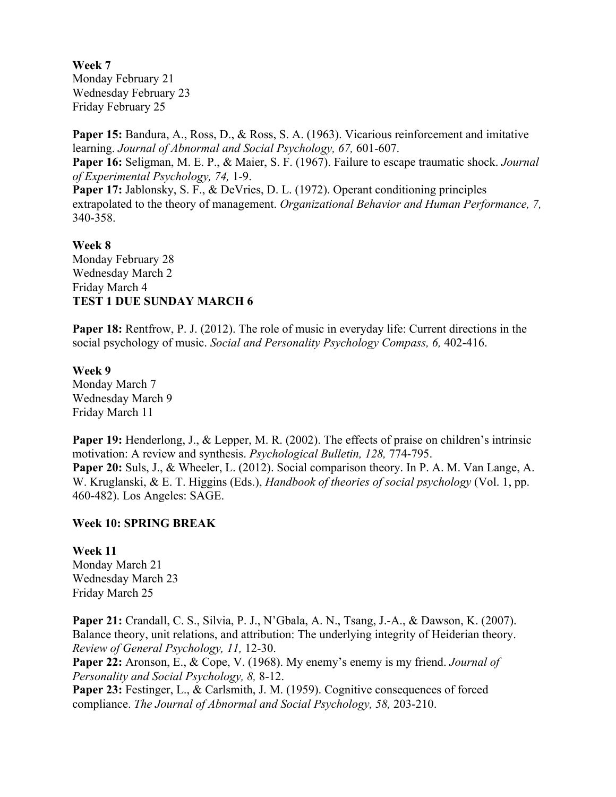**Week 7** Monday February 21 Wednesday February 23 Friday February 25

**Paper 15:** Bandura, A., Ross, D., & Ross, S. A. (1963). Vicarious reinforcement and imitative learning. *Journal of Abnormal and Social Psychology, 67,* 601-607. **Paper 16:** Seligman, M. E. P., & Maier, S. F. (1967). Failure to escape traumatic shock. *Journal of Experimental Psychology, 74,* 1-9. Paper 17: Jablonsky, S. F., & DeVries, D. L. (1972). Operant conditioning principles extrapolated to the theory of management. *Organizational Behavior and Human Performance, 7,* 340-358.

#### **Week 8**

Monday February 28 Wednesday March 2 Friday March 4 **TEST 1 DUE SUNDAY MARCH 6**

**Paper 18:** Rentfrow, P. J. (2012). The role of music in everyday life: Current directions in the social psychology of music. *Social and Personality Psychology Compass, 6,* 402-416.

#### **Week 9**

Monday March 7 Wednesday March 9 Friday March 11

**Paper 19:** Henderlong, J., & Lepper, M. R. (2002). The effects of praise on children's intrinsic motivation: A review and synthesis. *Psychological Bulletin, 128,* 774-795. **Paper 20:** Suls, J., & Wheeler, L. (2012). Social comparison theory. In P. A. M. Van Lange, A. W. Kruglanski, & E. T. Higgins (Eds.), *Handbook of theories of social psychology* (Vol. 1, pp. 460-482). Los Angeles: SAGE.

### **Week 10: SPRING BREAK**

**Week 11** Monday March 21 Wednesday March 23 Friday March 25

**Paper 21:** Crandall, C. S., Silvia, P. J., N'Gbala, A. N., Tsang, J.-A., & Dawson, K. (2007). Balance theory, unit relations, and attribution: The underlying integrity of Heiderian theory. *Review of General Psychology, 11,* 12-30.

**Paper 22:** Aronson, E., & Cope, V. (1968). My enemy's enemy is my friend. *Journal of Personality and Social Psychology, 8,* 8-12.

Paper 23: Festinger, L., & Carlsmith, J. M. (1959). Cognitive consequences of forced compliance. *The Journal of Abnormal and Social Psychology, 58,* 203-210.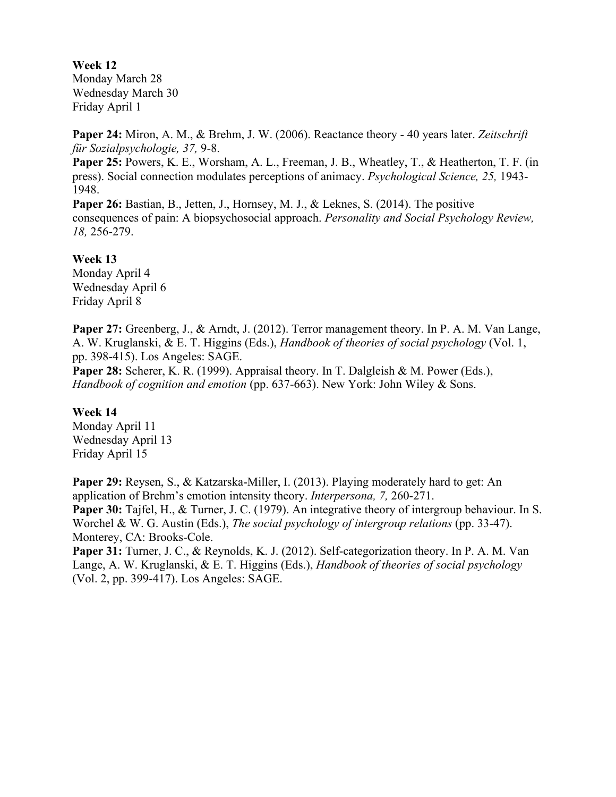**Week 12** Monday March 28 Wednesday March 30 Friday April 1

**Paper 24:** Miron, A. M., & Brehm, J. W. (2006). Reactance theory - 40 years later. *Zeitschrift für Sozialpsychologie, 37,* 9-8.

**Paper 25:** Powers, K. E., Worsham, A. L., Freeman, J. B., Wheatley, T., & Heatherton, T. F. (in press). Social connection modulates perceptions of animacy. *Psychological Science, 25,* 1943- 1948.

**Paper 26:** Bastian, B., Jetten, J., Hornsey, M. J., & Leknes, S. (2014). The positive consequences of pain: A biopsychosocial approach. *Personality and Social Psychology Review, 18,* 256-279.

**Week 13**

Monday April 4 Wednesday April 6 Friday April 8

Paper 27: Greenberg, J., & Arndt, J. (2012). Terror management theory. In P. A. M. Van Lange, A. W. Kruglanski, & E. T. Higgins (Eds.), *Handbook of theories of social psychology* (Vol. 1, pp. 398-415). Los Angeles: SAGE.

Paper 28: Scherer, K. R. (1999). Appraisal theory. In T. Dalgleish & M. Power (Eds.), *Handbook of cognition and emotion* (pp. 637-663). New York: John Wiley & Sons.

#### **Week 14**

Monday April 11 Wednesday April 13 Friday April 15

**Paper 29:** Reysen, S., & Katzarska-Miller, I. (2013). Playing moderately hard to get: An application of Brehm's emotion intensity theory. *Interpersona, 7,* 260-271. **Paper 30:** Tajfel, H., & Turner, J. C. (1979). An integrative theory of intergroup behaviour. In S. Worchel & W. G. Austin (Eds.), *The social psychology of intergroup relations* (pp. 33-47). Monterey, CA: Brooks-Cole. **Paper 31:** Turner, J. C., & Reynolds, K. J. (2012). Self-categorization theory. In P. A. M. Van

Lange, A. W. Kruglanski, & E. T. Higgins (Eds.), *Handbook of theories of social psychology* (Vol. 2, pp. 399-417). Los Angeles: SAGE.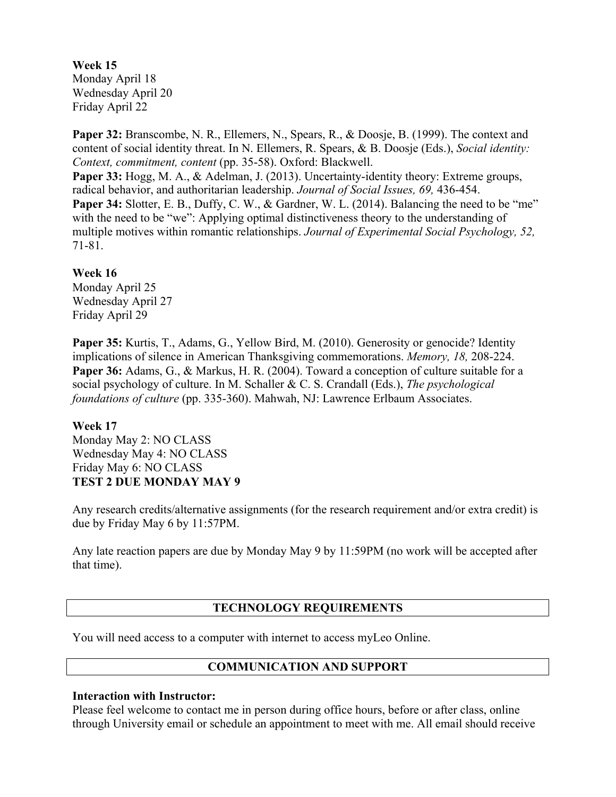**Week 15** Monday April 18 Wednesday April 20 Friday April 22

**Paper 32:** Branscombe, N. R., Ellemers, N., Spears, R., & Doosje, B. (1999). The context and content of social identity threat. In N. Ellemers, R. Spears, & B. Doosje (Eds.), *Social identity: Context, commitment, content* (pp. 35-58). Oxford: Blackwell.

**Paper 33:** Hogg, M. A., & Adelman, J. (2013). Uncertainty-identity theory: Extreme groups, radical behavior, and authoritarian leadership. *Journal of Social Issues, 69,* 436-454.

**Paper 34:** Slotter, E. B., Duffy, C. W., & Gardner, W. L. (2014). Balancing the need to be "me" with the need to be "we": Applying optimal distinctiveness theory to the understanding of multiple motives within romantic relationships. *Journal of Experimental Social Psychology, 52,* 71-81.

#### **Week 16**

Monday April 25 Wednesday April 27 Friday April 29

**Paper 35:** Kurtis, T., Adams, G., Yellow Bird, M. (2010). Generosity or genocide? Identity implications of silence in American Thanksgiving commemorations. *Memory, 18,* 208-224. **Paper 36:** Adams, G., & Markus, H. R. (2004). Toward a conception of culture suitable for a social psychology of culture. In M. Schaller & C. S. Crandall (Eds.), *The psychological foundations of culture* (pp. 335-360). Mahwah, NJ: Lawrence Erlbaum Associates.

#### **Week 17**

Monday May 2: NO CLASS Wednesday May 4: NO CLASS Friday May 6: NO CLASS **TEST 2 DUE MONDAY MAY 9**

Any research credits/alternative assignments (for the research requirement and/or extra credit) is due by Friday May 6 by 11:57PM.

Any late reaction papers are due by Monday May 9 by 11:59PM (no work will be accepted after that time).

### **TECHNOLOGY REQUIREMENTS**

You will need access to a computer with internet to access myLeo Online.

### **COMMUNICATION AND SUPPORT**

#### **Interaction with Instructor:**

Please feel welcome to contact me in person during office hours, before or after class, online through University email or schedule an appointment to meet with me. All email should receive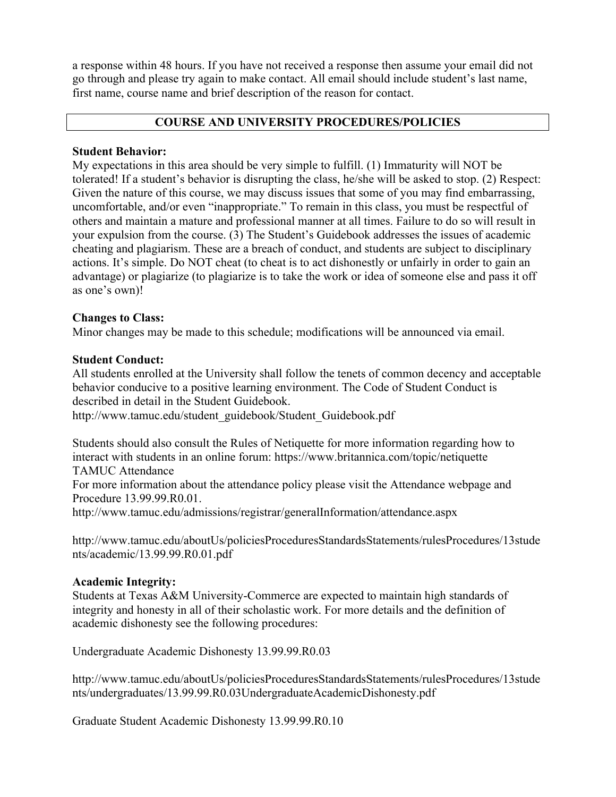a response within 48 hours. If you have not received a response then assume your email did not go through and please try again to make contact. All email should include student's last name, first name, course name and brief description of the reason for contact.

#### **COURSE AND UNIVERSITY PROCEDURES/POLICIES**

#### **Student Behavior:**

My expectations in this area should be very simple to fulfill. (1) Immaturity will NOT be tolerated! If a student's behavior is disrupting the class, he/she will be asked to stop. (2) Respect: Given the nature of this course, we may discuss issues that some of you may find embarrassing, uncomfortable, and/or even "inappropriate." To remain in this class, you must be respectful of others and maintain a mature and professional manner at all times. Failure to do so will result in your expulsion from the course. (3) The Student's Guidebook addresses the issues of academic cheating and plagiarism. These are a breach of conduct, and students are subject to disciplinary actions. It's simple. Do NOT cheat (to cheat is to act dishonestly or unfairly in order to gain an advantage) or plagiarize (to plagiarize is to take the work or idea of someone else and pass it off as one's own)!

### **Changes to Class:**

Minor changes may be made to this schedule; modifications will be announced via email.

#### **Student Conduct:**

All students enrolled at the University shall follow the tenets of common decency and acceptable behavior conducive to a positive learning environment. The Code of Student Conduct is described in detail in the Student Guidebook.

http://www.tamuc.edu/student\_guidebook/Student\_Guidebook.pdf

Students should also consult the Rules of Netiquette for more information regarding how to interact with students in an online forum: https://www.britannica.com/topic/netiquette TAMUC Attendance

For more information about the attendance policy please visit the Attendance webpage and Procedure 13.99.99.R0.01.

http://www.tamuc.edu/admissions/registrar/generalInformation/attendance.aspx

http://www.tamuc.edu/aboutUs/policiesProceduresStandardsStatements/rulesProcedures/13stude nts/academic/13.99.99.R0.01.pdf

### **Academic Integrity:**

Students at Texas A&M University-Commerce are expected to maintain high standards of integrity and honesty in all of their scholastic work. For more details and the definition of academic dishonesty see the following procedures:

Undergraduate Academic Dishonesty 13.99.99.R0.03

http://www.tamuc.edu/aboutUs/policiesProceduresStandardsStatements/rulesProcedures/13stude nts/undergraduates/13.99.99.R0.03UndergraduateAcademicDishonesty.pdf

Graduate Student Academic Dishonesty 13.99.99.R0.10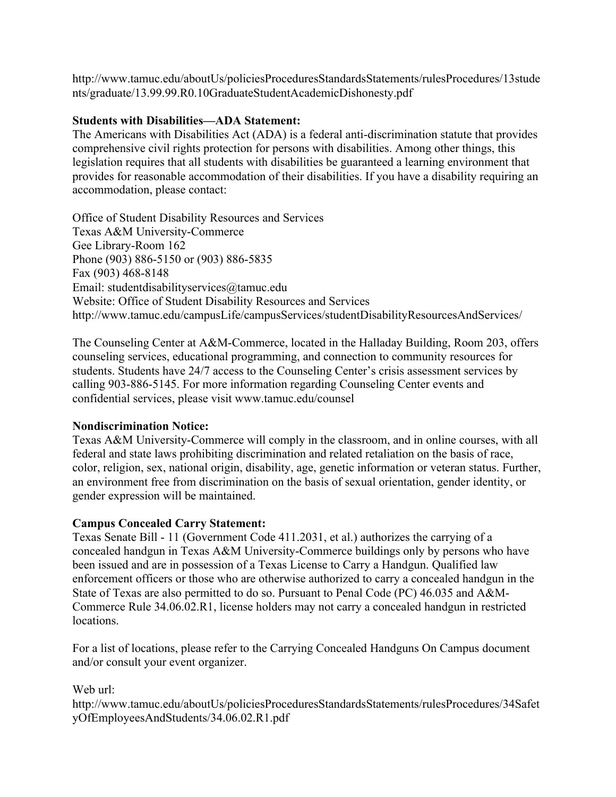http://www.tamuc.edu/aboutUs/policiesProceduresStandardsStatements/rulesProcedures/13stude nts/graduate/13.99.99.R0.10GraduateStudentAcademicDishonesty.pdf

#### **Students with Disabilities—ADA Statement:**

The Americans with Disabilities Act (ADA) is a federal anti-discrimination statute that provides comprehensive civil rights protection for persons with disabilities. Among other things, this legislation requires that all students with disabilities be guaranteed a learning environment that provides for reasonable accommodation of their disabilities. If you have a disability requiring an accommodation, please contact:

Office of Student Disability Resources and Services Texas A&M University-Commerce Gee Library-Room 162 Phone (903) 886-5150 or (903) 886-5835 Fax (903) 468-8148 Email: studentdisabilityservices@tamuc.edu Website: Office of Student Disability Resources and Services http://www.tamuc.edu/campusLife/campusServices/studentDisabilityResourcesAndServices/

The Counseling Center at A&M-Commerce, located in the Halladay Building, Room 203, offers counseling services, educational programming, and connection to community resources for students. Students have 24/7 access to the Counseling Center's crisis assessment services by calling 903-886-5145. For more information regarding Counseling Center events and confidential services, please visit www.tamuc.edu/counsel

### **Nondiscrimination Notice:**

Texas A&M University-Commerce will comply in the classroom, and in online courses, with all federal and state laws prohibiting discrimination and related retaliation on the basis of race, color, religion, sex, national origin, disability, age, genetic information or veteran status. Further, an environment free from discrimination on the basis of sexual orientation, gender identity, or gender expression will be maintained.

### **Campus Concealed Carry Statement:**

Texas Senate Bill - 11 (Government Code 411.2031, et al.) authorizes the carrying of a concealed handgun in Texas A&M University-Commerce buildings only by persons who have been issued and are in possession of a Texas License to Carry a Handgun. Qualified law enforcement officers or those who are otherwise authorized to carry a concealed handgun in the State of Texas are also permitted to do so. Pursuant to Penal Code (PC) 46.035 and A&M-Commerce Rule 34.06.02.R1, license holders may not carry a concealed handgun in restricted locations.

For a list of locations, please refer to the Carrying Concealed Handguns On Campus document and/or consult your event organizer.

#### Web url:

http://www.tamuc.edu/aboutUs/policiesProceduresStandardsStatements/rulesProcedures/34Safet yOfEmployeesAndStudents/34.06.02.R1.pdf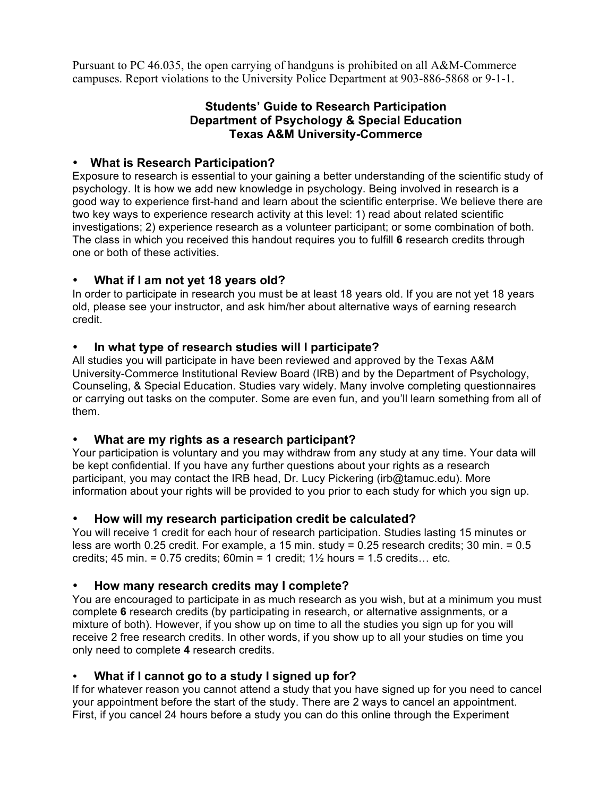Pursuant to PC 46.035, the open carrying of handguns is prohibited on all A&M-Commerce campuses. Report violations to the University Police Department at 903-886-5868 or 9-1-1.

## **Students' Guide to Research Participation Department of Psychology & Special Education Texas A&M University-Commerce**

### • **What is Research Participation?**

Exposure to research is essential to your gaining a better understanding of the scientific study of psychology. It is how we add new knowledge in psychology. Being involved in research is a good way to experience first-hand and learn about the scientific enterprise. We believe there are two key ways to experience research activity at this level: 1) read about related scientific investigations; 2) experience research as a volunteer participant; or some combination of both. The class in which you received this handout requires you to fulfill **6** research credits through one or both of these activities.

## • **What if I am not yet 18 years old?**

In order to participate in research you must be at least 18 years old. If you are not yet 18 years old, please see your instructor, and ask him/her about alternative ways of earning research credit.

### • **In what type of research studies will I participate?**

All studies you will participate in have been reviewed and approved by the Texas A&M University-Commerce Institutional Review Board (IRB) and by the Department of Psychology, Counseling, & Special Education. Studies vary widely. Many involve completing questionnaires or carrying out tasks on the computer. Some are even fun, and you'll learn something from all of them.

## • **What are my rights as a research participant?**

Your participation is voluntary and you may withdraw from any study at any time. Your data will be kept confidential. If you have any further questions about your rights as a research participant, you may contact the IRB head, Dr. Lucy Pickering (irb@tamuc.edu). More information about your rights will be provided to you prior to each study for which you sign up.

### • **How will my research participation credit be calculated?**

You will receive 1 credit for each hour of research participation. Studies lasting 15 minutes or less are worth 0.25 credit. For example, a 15 min. study = 0.25 research credits; 30 min. = 0.5 credits; 45 min. = 0.75 credits; 60min = 1 credit;  $1\frac{1}{2}$  hours = 1.5 credits... etc.

## • **How many research credits may I complete?**

You are encouraged to participate in as much research as you wish, but at a minimum you must complete **6** research credits (by participating in research, or alternative assignments, or a mixture of both). However, if you show up on time to all the studies you sign up for you will receive 2 free research credits. In other words, if you show up to all your studies on time you only need to complete **4** research credits.

## • **What if I cannot go to a study I signed up for?**

If for whatever reason you cannot attend a study that you have signed up for you need to cancel your appointment before the start of the study. There are 2 ways to cancel an appointment. First, if you cancel 24 hours before a study you can do this online through the Experiment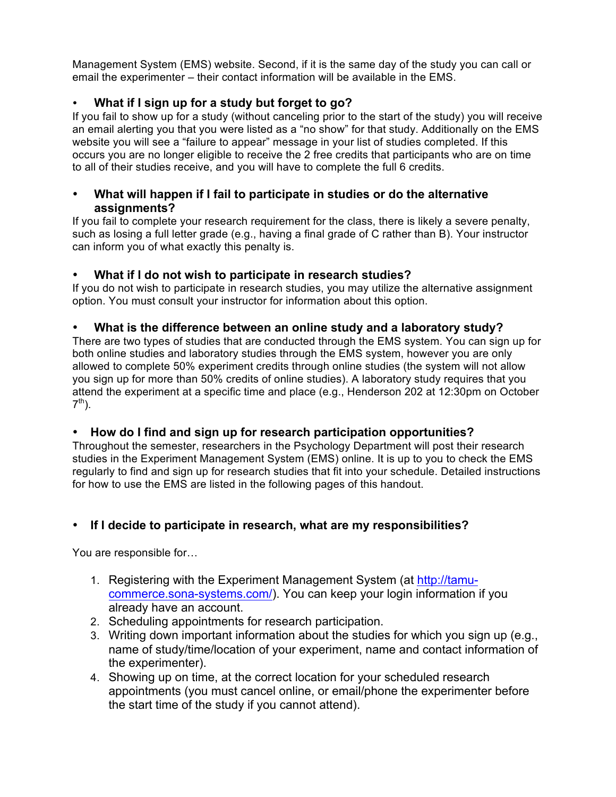Management System (EMS) website. Second, if it is the same day of the study you can call or email the experimenter – their contact information will be available in the EMS.

## • **What if I sign up for a study but forget to go?**

If you fail to show up for a study (without canceling prior to the start of the study) you will receive an email alerting you that you were listed as a "no show" for that study. Additionally on the EMS website you will see a "failure to appear" message in your list of studies completed. If this occurs you are no longer eligible to receive the 2 free credits that participants who are on time to all of their studies receive, and you will have to complete the full 6 credits.

## • **What will happen if I fail to participate in studies or do the alternative assignments?**

If you fail to complete your research requirement for the class, there is likely a severe penalty, such as losing a full letter grade (e.g., having a final grade of C rather than B). Your instructor can inform you of what exactly this penalty is.

## • **What if I do not wish to participate in research studies?**

If you do not wish to participate in research studies, you may utilize the alternative assignment option. You must consult your instructor for information about this option.

## • **What is the difference between an online study and a laboratory study?**

There are two types of studies that are conducted through the EMS system. You can sign up for both online studies and laboratory studies through the EMS system, however you are only allowed to complete 50% experiment credits through online studies (the system will not allow you sign up for more than 50% credits of online studies). A laboratory study requires that you attend the experiment at a specific time and place (e.g., Henderson 202 at 12:30pm on October  $7<sup>th</sup>$ ).

## • **How do I find and sign up for research participation opportunities?**

Throughout the semester, researchers in the Psychology Department will post their research studies in the Experiment Management System (EMS) online. It is up to you to check the EMS regularly to find and sign up for research studies that fit into your schedule. Detailed instructions for how to use the EMS are listed in the following pages of this handout.

# • **If I decide to participate in research, what are my responsibilities?**

You are responsible for…

- 1. Registering with the Experiment Management System (at http://tamucommerce.sona-systems.com/). You can keep your login information if you already have an account.
- 2. Scheduling appointments for research participation.
- 3. Writing down important information about the studies for which you sign up (e.g., name of study/time/location of your experiment, name and contact information of the experimenter).
- 4. Showing up on time, at the correct location for your scheduled research appointments (you must cancel online, or email/phone the experimenter before the start time of the study if you cannot attend).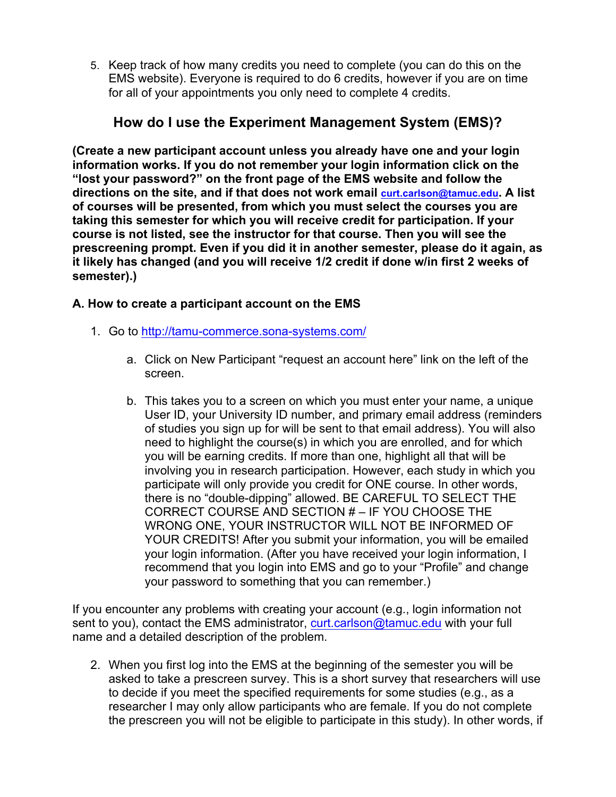5. Keep track of how many credits you need to complete (you can do this on the EMS website). Everyone is required to do 6 credits, however if you are on time for all of your appointments you only need to complete 4 credits.

# **How do I use the Experiment Management System (EMS)?**

**(Create a new participant account unless you already have one and your login information works. If you do not remember your login information click on the "lost your password?" on the front page of the EMS website and follow the directions on the site, and if that does not work email curt.carlson@tamuc.edu. A list of courses will be presented, from which you must select the courses you are taking this semester for which you will receive credit for participation. If your course is not listed, see the instructor for that course. Then you will see the prescreening prompt. Even if you did it in another semester, please do it again, as it likely has changed (and you will receive 1/2 credit if done w/in first 2 weeks of semester).)**

## **A. How to create a participant account on the EMS**

- 1. Go to http://tamu-commerce.sona-systems.com/
	- a. Click on New Participant "request an account here" link on the left of the screen.
	- b. This takes you to a screen on which you must enter your name, a unique User ID, your University ID number, and primary email address (reminders of studies you sign up for will be sent to that email address). You will also need to highlight the course(s) in which you are enrolled, and for which you will be earning credits. If more than one, highlight all that will be involving you in research participation. However, each study in which you participate will only provide you credit for ONE course. In other words, there is no "double-dipping" allowed. BE CAREFUL TO SELECT THE CORRECT COURSE AND SECTION # – IF YOU CHOOSE THE WRONG ONE, YOUR INSTRUCTOR WILL NOT BE INFORMED OF YOUR CREDITS! After you submit your information, you will be emailed your login information. (After you have received your login information, I recommend that you login into EMS and go to your "Profile" and change your password to something that you can remember.)

If you encounter any problems with creating your account (e.g., login information not sent to you), contact the EMS administrator, curt.carlson@tamuc.edu with your full name and a detailed description of the problem.

2. When you first log into the EMS at the beginning of the semester you will be asked to take a prescreen survey. This is a short survey that researchers will use to decide if you meet the specified requirements for some studies (e.g., as a researcher I may only allow participants who are female. If you do not complete the prescreen you will not be eligible to participate in this study). In other words, if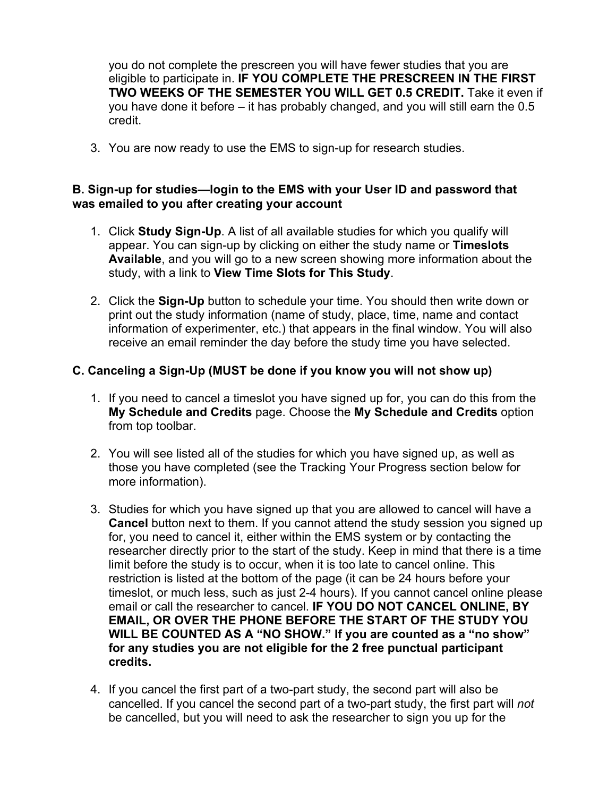you do not complete the prescreen you will have fewer studies that you are eligible to participate in. **IF YOU COMPLETE THE PRESCREEN IN THE FIRST TWO WEEKS OF THE SEMESTER YOU WILL GET 0.5 CREDIT.** Take it even if you have done it before – it has probably changed, and you will still earn the 0.5 credit.

3. You are now ready to use the EMS to sign-up for research studies.

## **B. Sign-up for studies—login to the EMS with your User ID and password that was emailed to you after creating your account**

- 1. Click **Study Sign-Up**. A list of all available studies for which you qualify will appear. You can sign-up by clicking on either the study name or **Timeslots Available**, and you will go to a new screen showing more information about the study, with a link to **View Time Slots for This Study**.
- 2. Click the **Sign-Up** button to schedule your time. You should then write down or print out the study information (name of study, place, time, name and contact information of experimenter, etc.) that appears in the final window. You will also receive an email reminder the day before the study time you have selected.

## **C. Canceling a Sign-Up (MUST be done if you know you will not show up)**

- 1. If you need to cancel a timeslot you have signed up for, you can do this from the **My Schedule and Credits** page. Choose the **My Schedule and Credits** option from top toolbar.
- 2. You will see listed all of the studies for which you have signed up, as well as those you have completed (see the Tracking Your Progress section below for more information).
- 3. Studies for which you have signed up that you are allowed to cancel will have a **Cancel** button next to them. If you cannot attend the study session you signed up for, you need to cancel it, either within the EMS system or by contacting the researcher directly prior to the start of the study. Keep in mind that there is a time limit before the study is to occur, when it is too late to cancel online. This restriction is listed at the bottom of the page (it can be 24 hours before your timeslot, or much less, such as just 2-4 hours). If you cannot cancel online please email or call the researcher to cancel. **IF YOU DO NOT CANCEL ONLINE, BY EMAIL, OR OVER THE PHONE BEFORE THE START OF THE STUDY YOU WILL BE COUNTED AS A "NO SHOW." If you are counted as a "no show" for any studies you are not eligible for the 2 free punctual participant credits.**
- 4. If you cancel the first part of a two-part study, the second part will also be cancelled. If you cancel the second part of a two-part study, the first part will *not* be cancelled, but you will need to ask the researcher to sign you up for the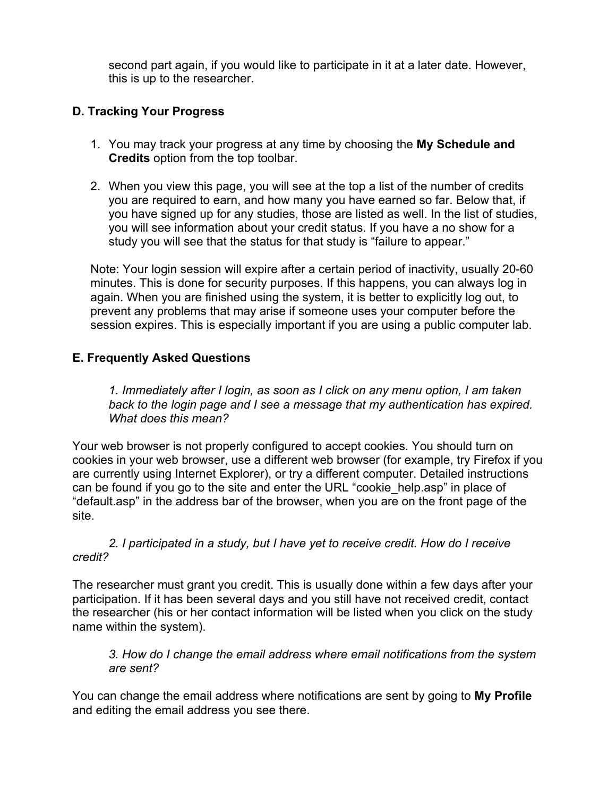second part again, if you would like to participate in it at a later date. However, this is up to the researcher.

## **D. Tracking Your Progress**

- 1. You may track your progress at any time by choosing the **My Schedule and Credits** option from the top toolbar.
- 2. When you view this page, you will see at the top a list of the number of credits you are required to earn, and how many you have earned so far. Below that, if you have signed up for any studies, those are listed as well. In the list of studies, you will see information about your credit status. If you have a no show for a study you will see that the status for that study is "failure to appear."

Note: Your login session will expire after a certain period of inactivity, usually 20-60 minutes. This is done for security purposes. If this happens, you can always log in again. When you are finished using the system, it is better to explicitly log out, to prevent any problems that may arise if someone uses your computer before the session expires. This is especially important if you are using a public computer lab.

## **E. Frequently Asked Questions**

*1. Immediately after I login, as soon as I click on any menu option, I am taken back to the login page and I see a message that my authentication has expired. What does this mean?*

Your web browser is not properly configured to accept cookies. You should turn on cookies in your web browser, use a different web browser (for example, try Firefox if you are currently using Internet Explorer), or try a different computer. Detailed instructions can be found if you go to the site and enter the URL "cookie\_help.asp" in place of "default.asp" in the address bar of the browser, when you are on the front page of the site.

*2. I participated in a study, but I have yet to receive credit. How do I receive credit?*

The researcher must grant you credit. This is usually done within a few days after your participation. If it has been several days and you still have not received credit, contact the researcher (his or her contact information will be listed when you click on the study name within the system).

*3. How do I change the email address where email notifications from the system are sent?*

You can change the email address where notifications are sent by going to **My Profile** and editing the email address you see there.